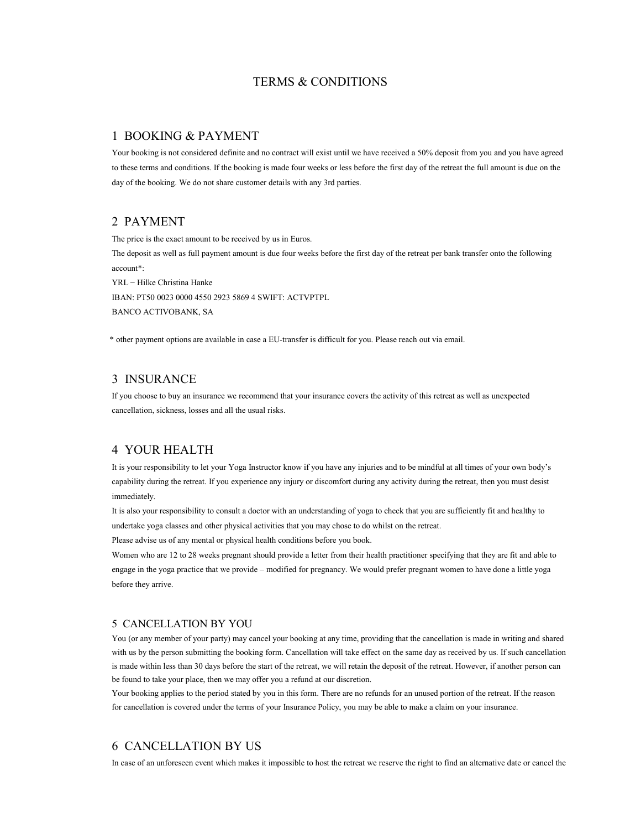## TERMS & CONDITIONS

### 1 BOOKING & PAYMENT

Your booking is not considered definite and no contract will exist until we have received a 50% deposit from you and you have agreed to these terms and conditions. If the booking is made four weeks or less before the first day of the retreat the full amount is due on the day of the booking. We do not share customer details with any 3rd parties.

#### 2 PAYMENT

The price is the exact amount to be received by us in Euros. The deposit as well as full payment amount is due four weeks before the first day of the retreat per bank transfer onto the following account\*: YRL – Hilke Christina Hanke

IBAN: PT50 0023 0000 4550 2923 5869 4 SWIFT: ACTVPTPL BANCO ACTIVOBANK, SA

\* other payment options are available in case a EU-transfer is difficult for you. Please reach out via email.

## 3 INSURANCE

If you choose to buy an insurance we recommend that your insurance covers the activity of this retreat as well as unexpected cancellation, sickness, losses and all the usual risks.

### 4 YOUR HEALTH

It is your responsibility to let your Yoga Instructor know if you have any injuries and to be mindful at all times of your own body's capability during the retreat. If you experience any injury or discomfort during any activity during the retreat, then you must desist immediately.

It is also your responsibility to consult a doctor with an understanding of yoga to check that you are sufficiently fit and healthy to undertake yoga classes and other physical activities that you may chose to do whilst on the retreat.

Please advise us of any mental or physical health conditions before you book.

Women who are 12 to 28 weeks pregnant should provide a letter from their health practitioner specifying that they are fit and able to engage in the yoga practice that we provide – modified for pregnancy. We would prefer pregnant women to have done a little yoga before they arrive.

#### 5 CANCELLATION BY YOU

You (or any member of your party) may cancel your booking at any time, providing that the cancellation is made in writing and shared with us by the person submitting the booking form. Cancellation will take effect on the same day as received by us. If such cancellation is made within less than 30 days before the start of the retreat, we will retain the deposit of the retreat. However, if another person can be found to take your place, then we may offer you a refund at our discretion.

Your booking applies to the period stated by you in this form. There are no refunds for an unused portion of the retreat. If the reason for cancellation is covered under the terms of your Insurance Policy, you may be able to make a claim on your insurance.

#### 6 CANCELLATION BY US

In case of an unforeseen event which makes it impossible to host the retreat we reserve the right to find an alternative date or cancel the